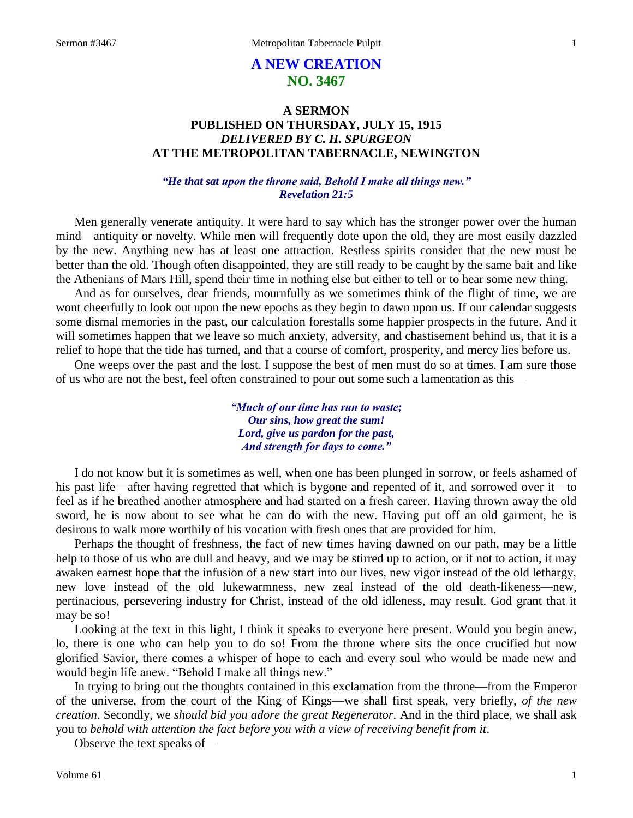# **A NEW CREATION NO. 3467**

## **A SERMON PUBLISHED ON THURSDAY, JULY 15, 1915** *DELIVERED BY C. H. SPURGEON* **AT THE METROPOLITAN TABERNACLE, NEWINGTON**

#### *"He that sat upon the throne said, Behold I make all things new." Revelation 21:5*

Men generally venerate antiquity. It were hard to say which has the stronger power over the human mind—antiquity or novelty. While men will frequently dote upon the old, they are most easily dazzled by the new. Anything new has at least one attraction. Restless spirits consider that the new must be better than the old. Though often disappointed, they are still ready to be caught by the same bait and like the Athenians of Mars Hill, spend their time in nothing else but either to tell or to hear some new thing.

And as for ourselves, dear friends, mournfully as we sometimes think of the flight of time, we are wont cheerfully to look out upon the new epochs as they begin to dawn upon us. If our calendar suggests some dismal memories in the past, our calculation forestalls some happier prospects in the future. And it will sometimes happen that we leave so much anxiety, adversity, and chastisement behind us, that it is a relief to hope that the tide has turned, and that a course of comfort, prosperity, and mercy lies before us.

One weeps over the past and the lost. I suppose the best of men must do so at times. I am sure those of us who are not the best, feel often constrained to pour out some such a lamentation as this—

> *"Much of our time has run to waste; Our sins, how great the sum! Lord, give us pardon for the past, And strength for days to come."*

I do not know but it is sometimes as well, when one has been plunged in sorrow, or feels ashamed of his past life—after having regretted that which is bygone and repented of it, and sorrowed over it—to feel as if he breathed another atmosphere and had started on a fresh career. Having thrown away the old sword, he is now about to see what he can do with the new. Having put off an old garment, he is desirous to walk more worthily of his vocation with fresh ones that are provided for him.

Perhaps the thought of freshness, the fact of new times having dawned on our path, may be a little help to those of us who are dull and heavy, and we may be stirred up to action, or if not to action, it may awaken earnest hope that the infusion of a new start into our lives, new vigor instead of the old lethargy, new love instead of the old lukewarmness, new zeal instead of the old death-likeness—new, pertinacious, persevering industry for Christ, instead of the old idleness, may result. God grant that it may be so!

Looking at the text in this light, I think it speaks to everyone here present. Would you begin anew, lo, there is one who can help you to do so! From the throne where sits the once crucified but now glorified Savior, there comes a whisper of hope to each and every soul who would be made new and would begin life anew. "Behold I make all things new."

In trying to bring out the thoughts contained in this exclamation from the throne—from the Emperor of the universe, from the court of the King of Kings—we shall first speak, very briefly, *of the new creation*. Secondly, we *should bid you adore the great Regenerator.* And in the third place, we shall ask you to *behold with attention the fact before you with a view of receiving benefit from it*.

Observe the text speaks of—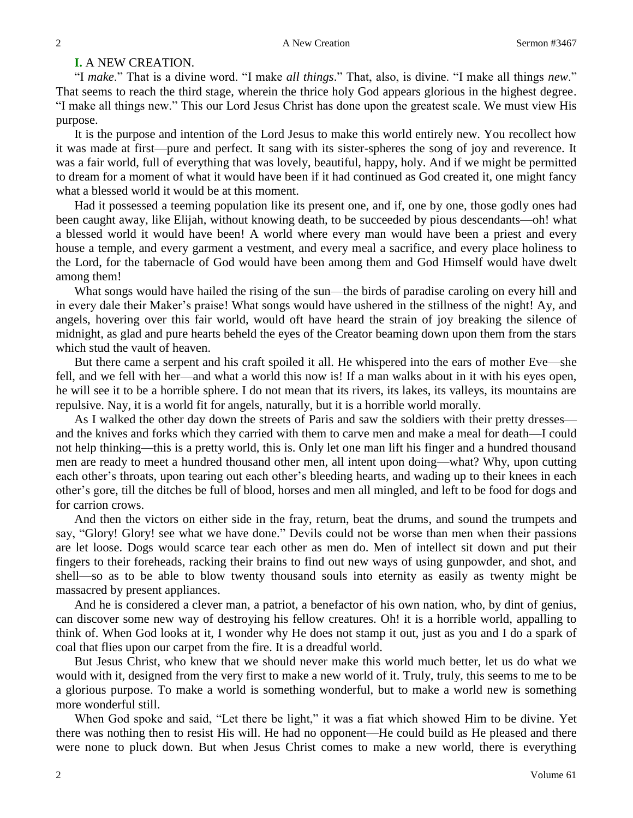## **I.** A NEW CREATION.

"I *make*." That is a divine word. "I make *all things*." That, also, is divine. "I make all things *new*." That seems to reach the third stage, wherein the thrice holy God appears glorious in the highest degree. "I make all things new." This our Lord Jesus Christ has done upon the greatest scale. We must view His purpose.

It is the purpose and intention of the Lord Jesus to make this world entirely new. You recollect how it was made at first—pure and perfect. It sang with its sister-spheres the song of joy and reverence. It was a fair world, full of everything that was lovely, beautiful, happy, holy. And if we might be permitted to dream for a moment of what it would have been if it had continued as God created it, one might fancy what a blessed world it would be at this moment.

Had it possessed a teeming population like its present one, and if, one by one, those godly ones had been caught away, like Elijah, without knowing death, to be succeeded by pious descendants—oh! what a blessed world it would have been! A world where every man would have been a priest and every house a temple, and every garment a vestment, and every meal a sacrifice, and every place holiness to the Lord, for the tabernacle of God would have been among them and God Himself would have dwelt among them!

What songs would have hailed the rising of the sun—the birds of paradise caroling on every hill and in every dale their Maker's praise! What songs would have ushered in the stillness of the night! Ay, and angels, hovering over this fair world, would oft have heard the strain of joy breaking the silence of midnight, as glad and pure hearts beheld the eyes of the Creator beaming down upon them from the stars which stud the vault of heaven.

But there came a serpent and his craft spoiled it all. He whispered into the ears of mother Eve—she fell, and we fell with her—and what a world this now is! If a man walks about in it with his eyes open, he will see it to be a horrible sphere. I do not mean that its rivers, its lakes, its valleys, its mountains are repulsive. Nay, it is a world fit for angels, naturally, but it is a horrible world morally.

As I walked the other day down the streets of Paris and saw the soldiers with their pretty dresses and the knives and forks which they carried with them to carve men and make a meal for death—I could not help thinking—this is a pretty world, this is. Only let one man lift his finger and a hundred thousand men are ready to meet a hundred thousand other men, all intent upon doing—what? Why, upon cutting each other's throats, upon tearing out each other's bleeding hearts, and wading up to their knees in each other's gore, till the ditches be full of blood, horses and men all mingled, and left to be food for dogs and for carrion crows.

And then the victors on either side in the fray, return, beat the drums, and sound the trumpets and say, "Glory! Glory! see what we have done." Devils could not be worse than men when their passions are let loose. Dogs would scarce tear each other as men do. Men of intellect sit down and put their fingers to their foreheads, racking their brains to find out new ways of using gunpowder, and shot, and shell—so as to be able to blow twenty thousand souls into eternity as easily as twenty might be massacred by present appliances.

And he is considered a clever man, a patriot, a benefactor of his own nation, who, by dint of genius, can discover some new way of destroying his fellow creatures. Oh! it is a horrible world, appalling to think of. When God looks at it, I wonder why He does not stamp it out, just as you and I do a spark of coal that flies upon our carpet from the fire. It is a dreadful world.

But Jesus Christ, who knew that we should never make this world much better, let us do what we would with it, designed from the very first to make a new world of it. Truly, truly, this seems to me to be a glorious purpose. To make a world is something wonderful, but to make a world new is something more wonderful still.

When God spoke and said, "Let there be light," it was a fiat which showed Him to be divine. Yet there was nothing then to resist His will. He had no opponent—He could build as He pleased and there were none to pluck down. But when Jesus Christ comes to make a new world, there is everything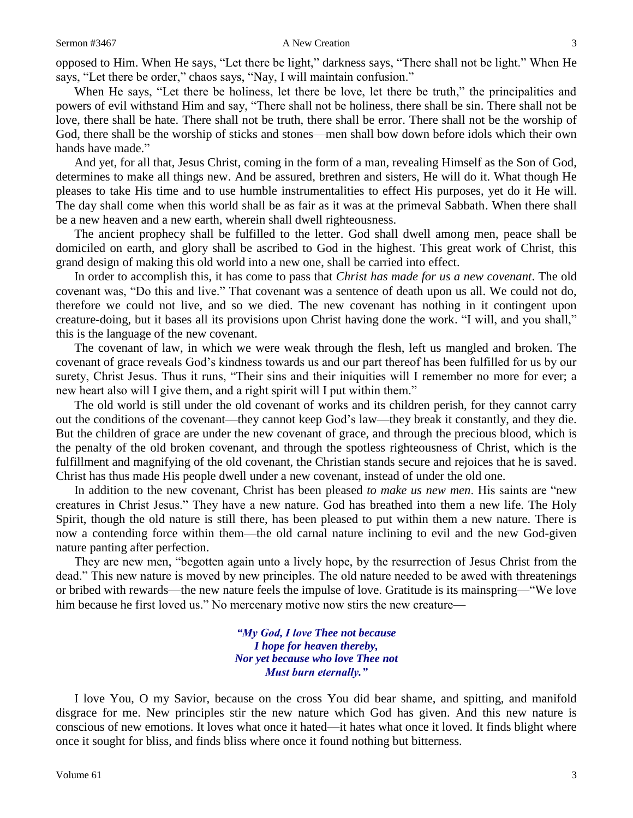opposed to Him. When He says, "Let there be light," darkness says, "There shall not be light." When He says, "Let there be order," chaos says, "Nay, I will maintain confusion."

When He says, "Let there be holiness, let there be love, let there be truth," the principalities and powers of evil withstand Him and say, "There shall not be holiness, there shall be sin. There shall not be love, there shall be hate. There shall not be truth, there shall be error. There shall not be the worship of God, there shall be the worship of sticks and stones—men shall bow down before idols which their own hands have made."

And yet, for all that, Jesus Christ, coming in the form of a man, revealing Himself as the Son of God, determines to make all things new. And be assured, brethren and sisters, He will do it. What though He pleases to take His time and to use humble instrumentalities to effect His purposes, yet do it He will. The day shall come when this world shall be as fair as it was at the primeval Sabbath. When there shall be a new heaven and a new earth, wherein shall dwell righteousness.

The ancient prophecy shall be fulfilled to the letter. God shall dwell among men, peace shall be domiciled on earth, and glory shall be ascribed to God in the highest. This great work of Christ, this grand design of making this old world into a new one, shall be carried into effect.

In order to accomplish this, it has come to pass that *Christ has made for us a new covenant*. The old covenant was, "Do this and live." That covenant was a sentence of death upon us all. We could not do, therefore we could not live, and so we died. The new covenant has nothing in it contingent upon creature-doing, but it bases all its provisions upon Christ having done the work. "I will, and you shall," this is the language of the new covenant.

The covenant of law, in which we were weak through the flesh, left us mangled and broken. The covenant of grace reveals God's kindness towards us and our part thereof has been fulfilled for us by our surety, Christ Jesus. Thus it runs, "Their sins and their iniquities will I remember no more for ever; a new heart also will I give them, and a right spirit will I put within them."

The old world is still under the old covenant of works and its children perish, for they cannot carry out the conditions of the covenant—they cannot keep God's law—they break it constantly, and they die. But the children of grace are under the new covenant of grace, and through the precious blood, which is the penalty of the old broken covenant, and through the spotless righteousness of Christ, which is the fulfillment and magnifying of the old covenant, the Christian stands secure and rejoices that he is saved. Christ has thus made His people dwell under a new covenant, instead of under the old one.

In addition to the new covenant, Christ has been pleased *to make us new men*. His saints are "new creatures in Christ Jesus." They have a new nature. God has breathed into them a new life. The Holy Spirit, though the old nature is still there, has been pleased to put within them a new nature. There is now a contending force within them—the old carnal nature inclining to evil and the new God-given nature panting after perfection.

They are new men, "begotten again unto a lively hope, by the resurrection of Jesus Christ from the dead." This new nature is moved by new principles. The old nature needed to be awed with threatenings or bribed with rewards—the new nature feels the impulse of love. Gratitude is its mainspring—"We love him because he first loved us." No mercenary motive now stirs the new creature—

> *"My God, I love Thee not because I hope for heaven thereby, Nor yet because who love Thee not Must burn eternally."*

I love You, O my Savior, because on the cross You did bear shame, and spitting, and manifold disgrace for me. New principles stir the new nature which God has given. And this new nature is conscious of new emotions. It loves what once it hated—it hates what once it loved. It finds blight where once it sought for bliss, and finds bliss where once it found nothing but bitterness.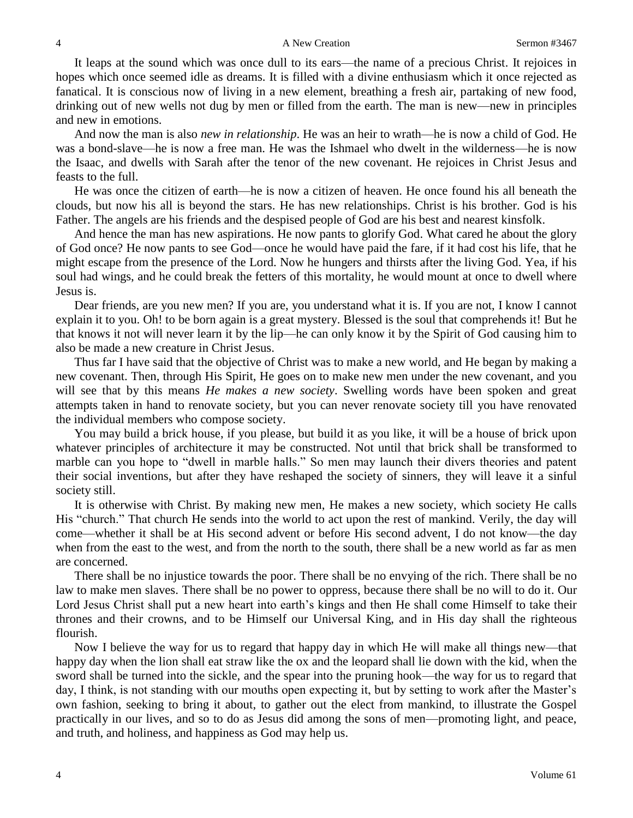It leaps at the sound which was once dull to its ears—the name of a precious Christ. It rejoices in hopes which once seemed idle as dreams. It is filled with a divine enthusiasm which it once rejected as fanatical. It is conscious now of living in a new element, breathing a fresh air, partaking of new food, drinking out of new wells not dug by men or filled from the earth. The man is new—new in principles and new in emotions.

And now the man is also *new in relationship*. He was an heir to wrath—he is now a child of God. He was a bond-slave—he is now a free man. He was the Ishmael who dwelt in the wilderness—he is now the Isaac, and dwells with Sarah after the tenor of the new covenant. He rejoices in Christ Jesus and feasts to the full.

He was once the citizen of earth—he is now a citizen of heaven. He once found his all beneath the clouds, but now his all is beyond the stars. He has new relationships. Christ is his brother. God is his Father. The angels are his friends and the despised people of God are his best and nearest kinsfolk.

And hence the man has new aspirations. He now pants to glorify God. What cared he about the glory of God once? He now pants to see God—once he would have paid the fare, if it had cost his life, that he might escape from the presence of the Lord. Now he hungers and thirsts after the living God. Yea, if his soul had wings, and he could break the fetters of this mortality, he would mount at once to dwell where Jesus is.

Dear friends, are you new men? If you are, you understand what it is. If you are not, I know I cannot explain it to you. Oh! to be born again is a great mystery. Blessed is the soul that comprehends it! But he that knows it not will never learn it by the lip—he can only know it by the Spirit of God causing him to also be made a new creature in Christ Jesus.

Thus far I have said that the objective of Christ was to make a new world, and He began by making a new covenant. Then, through His Spirit, He goes on to make new men under the new covenant, and you will see that by this means *He makes a new society*. Swelling words have been spoken and great attempts taken in hand to renovate society, but you can never renovate society till you have renovated the individual members who compose society.

You may build a brick house, if you please, but build it as you like, it will be a house of brick upon whatever principles of architecture it may be constructed. Not until that brick shall be transformed to marble can you hope to "dwell in marble halls." So men may launch their divers theories and patent their social inventions, but after they have reshaped the society of sinners, they will leave it a sinful society still.

It is otherwise with Christ. By making new men, He makes a new society, which society He calls His "church." That church He sends into the world to act upon the rest of mankind. Verily, the day will come—whether it shall be at His second advent or before His second advent, I do not know—the day when from the east to the west, and from the north to the south, there shall be a new world as far as men are concerned.

There shall be no injustice towards the poor. There shall be no envying of the rich. There shall be no law to make men slaves. There shall be no power to oppress, because there shall be no will to do it. Our Lord Jesus Christ shall put a new heart into earth's kings and then He shall come Himself to take their thrones and their crowns, and to be Himself our Universal King, and in His day shall the righteous flourish.

Now I believe the way for us to regard that happy day in which He will make all things new—that happy day when the lion shall eat straw like the ox and the leopard shall lie down with the kid, when the sword shall be turned into the sickle, and the spear into the pruning hook—the way for us to regard that day, I think, is not standing with our mouths open expecting it, but by setting to work after the Master's own fashion, seeking to bring it about, to gather out the elect from mankind, to illustrate the Gospel practically in our lives, and so to do as Jesus did among the sons of men—promoting light, and peace, and truth, and holiness, and happiness as God may help us.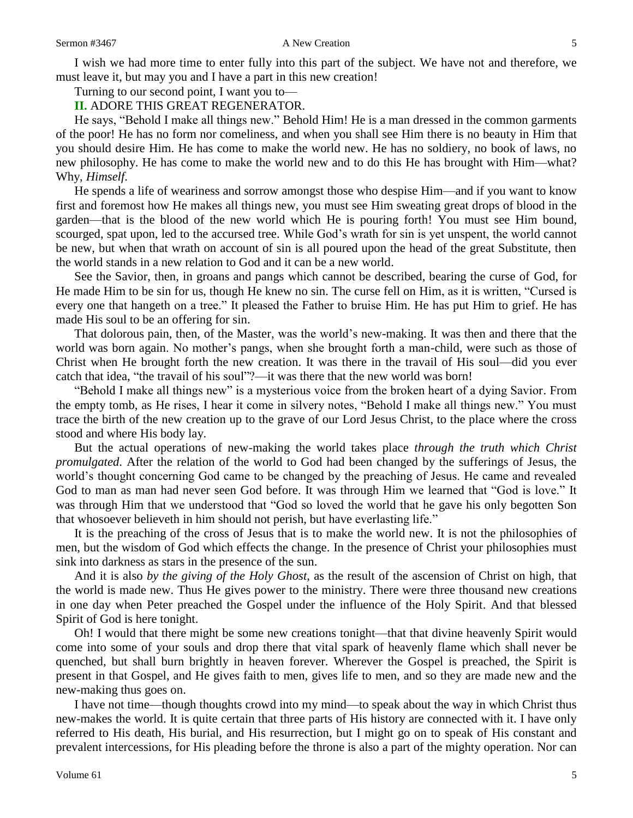#### Sermon #3467 **A New Creation** 5

I wish we had more time to enter fully into this part of the subject. We have not and therefore, we must leave it, but may you and I have a part in this new creation!

Turning to our second point, I want you to—

#### **II.** ADORE THIS GREAT REGENERATOR.

He says, "Behold I make all things new." Behold Him! He is a man dressed in the common garments of the poor! He has no form nor comeliness, and when you shall see Him there is no beauty in Him that you should desire Him. He has come to make the world new. He has no soldiery, no book of laws, no new philosophy. He has come to make the world new and to do this He has brought with Him—what? Why, *Himself*.

He spends a life of weariness and sorrow amongst those who despise Him—and if you want to know first and foremost how He makes all things new, you must see Him sweating great drops of blood in the garden—that is the blood of the new world which He is pouring forth! You must see Him bound, scourged, spat upon, led to the accursed tree. While God's wrath for sin is yet unspent, the world cannot be new, but when that wrath on account of sin is all poured upon the head of the great Substitute, then the world stands in a new relation to God and it can be a new world.

See the Savior, then, in groans and pangs which cannot be described, bearing the curse of God, for He made Him to be sin for us, though He knew no sin. The curse fell on Him, as it is written, "Cursed is every one that hangeth on a tree." It pleased the Father to bruise Him. He has put Him to grief. He has made His soul to be an offering for sin.

That dolorous pain, then, of the Master, was the world's new-making. It was then and there that the world was born again. No mother's pangs, when she brought forth a man-child, were such as those of Christ when He brought forth the new creation. It was there in the travail of His soul—did you ever catch that idea, "the travail of his soul"?—it was there that the new world was born!

"Behold I make all things new" is a mysterious voice from the broken heart of a dying Savior. From the empty tomb, as He rises, I hear it come in silvery notes, "Behold I make all things new." You must trace the birth of the new creation up to the grave of our Lord Jesus Christ, to the place where the cross stood and where His body lay.

But the actual operations of new-making the world takes place *through the truth which Christ promulgated*. After the relation of the world to God had been changed by the sufferings of Jesus, the world's thought concerning God came to be changed by the preaching of Jesus. He came and revealed God to man as man had never seen God before. It was through Him we learned that "God is love." It was through Him that we understood that "God so loved the world that he gave his only begotten Son that whosoever believeth in him should not perish, but have everlasting life."

It is the preaching of the cross of Jesus that is to make the world new. It is not the philosophies of men, but the wisdom of God which effects the change. In the presence of Christ your philosophies must sink into darkness as stars in the presence of the sun.

And it is also *by the giving of the Holy Ghost*, as the result of the ascension of Christ on high, that the world is made new. Thus He gives power to the ministry. There were three thousand new creations in one day when Peter preached the Gospel under the influence of the Holy Spirit. And that blessed Spirit of God is here tonight.

Oh! I would that there might be some new creations tonight—that that divine heavenly Spirit would come into some of your souls and drop there that vital spark of heavenly flame which shall never be quenched, but shall burn brightly in heaven forever. Wherever the Gospel is preached, the Spirit is present in that Gospel, and He gives faith to men, gives life to men, and so they are made new and the new-making thus goes on.

I have not time—though thoughts crowd into my mind—to speak about the way in which Christ thus new-makes the world. It is quite certain that three parts of His history are connected with it. I have only referred to His death, His burial, and His resurrection, but I might go on to speak of His constant and prevalent intercessions, for His pleading before the throne is also a part of the mighty operation. Nor can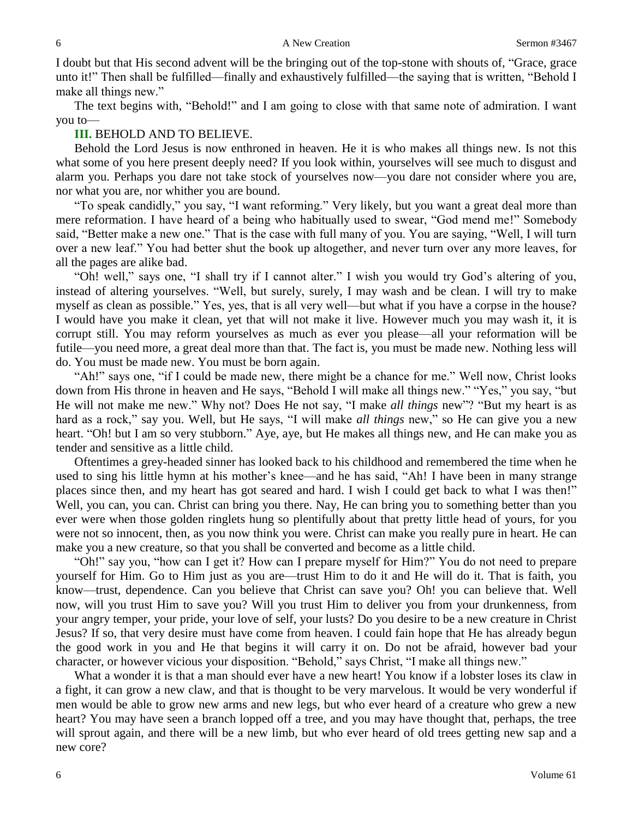I doubt but that His second advent will be the bringing out of the top-stone with shouts of, "Grace, grace unto it!" Then shall be fulfilled—finally and exhaustively fulfilled—the saying that is written, "Behold I make all things new."

The text begins with, "Behold!" and I am going to close with that same note of admiration. I want you to—

#### **III.** BEHOLD AND TO BELIEVE.

Behold the Lord Jesus is now enthroned in heaven. He it is who makes all things new. Is not this what some of you here present deeply need? If you look within, yourselves will see much to disgust and alarm you. Perhaps you dare not take stock of yourselves now—you dare not consider where you are, nor what you are, nor whither you are bound.

"To speak candidly," you say, "I want reforming." Very likely, but you want a great deal more than mere reformation. I have heard of a being who habitually used to swear, "God mend me!" Somebody said, "Better make a new one." That is the case with full many of you. You are saying, "Well, I will turn over a new leaf." You had better shut the book up altogether, and never turn over any more leaves, for all the pages are alike bad.

"Oh! well," says one, "I shall try if I cannot alter." I wish you would try God's altering of you, instead of altering yourselves. "Well, but surely, surely, I may wash and be clean. I will try to make myself as clean as possible." Yes, yes, that is all very well—but what if you have a corpse in the house? I would have you make it clean, yet that will not make it live. However much you may wash it, it is corrupt still. You may reform yourselves as much as ever you please—all your reformation will be futile—you need more, a great deal more than that. The fact is, you must be made new. Nothing less will do. You must be made new. You must be born again.

"Ah!" says one, "if I could be made new, there might be a chance for me." Well now, Christ looks down from His throne in heaven and He says, "Behold I will make all things new." "Yes," you say, "but He will not make me new." Why not? Does He not say, "I make *all things* new"? "But my heart is as hard as a rock," say you. Well, but He says, "I will make *all things* new," so He can give you a new heart. "Oh! but I am so very stubborn." Aye, aye, but He makes all things new, and He can make you as tender and sensitive as a little child.

Oftentimes a grey-headed sinner has looked back to his childhood and remembered the time when he used to sing his little hymn at his mother's knee—and he has said, "Ah! I have been in many strange places since then, and my heart has got seared and hard. I wish I could get back to what I was then!" Well, you can, you can. Christ can bring you there. Nay, He can bring you to something better than you ever were when those golden ringlets hung so plentifully about that pretty little head of yours, for you were not so innocent, then, as you now think you were. Christ can make you really pure in heart. He can make you a new creature, so that you shall be converted and become as a little child.

"Oh!" say you, "how can I get it? How can I prepare myself for Him?" You do not need to prepare yourself for Him. Go to Him just as you are—trust Him to do it and He will do it. That is faith, you know—trust, dependence. Can you believe that Christ can save you? Oh! you can believe that. Well now, will you trust Him to save you? Will you trust Him to deliver you from your drunkenness, from your angry temper, your pride, your love of self, your lusts? Do you desire to be a new creature in Christ Jesus? If so, that very desire must have come from heaven. I could fain hope that He has already begun the good work in you and He that begins it will carry it on. Do not be afraid, however bad your character, or however vicious your disposition. "Behold," says Christ, "I make all things new."

What a wonder it is that a man should ever have a new heart! You know if a lobster loses its claw in a fight, it can grow a new claw, and that is thought to be very marvelous. It would be very wonderful if men would be able to grow new arms and new legs, but who ever heard of a creature who grew a new heart? You may have seen a branch lopped off a tree, and you may have thought that, perhaps, the tree will sprout again, and there will be a new limb, but who ever heard of old trees getting new sap and a new core?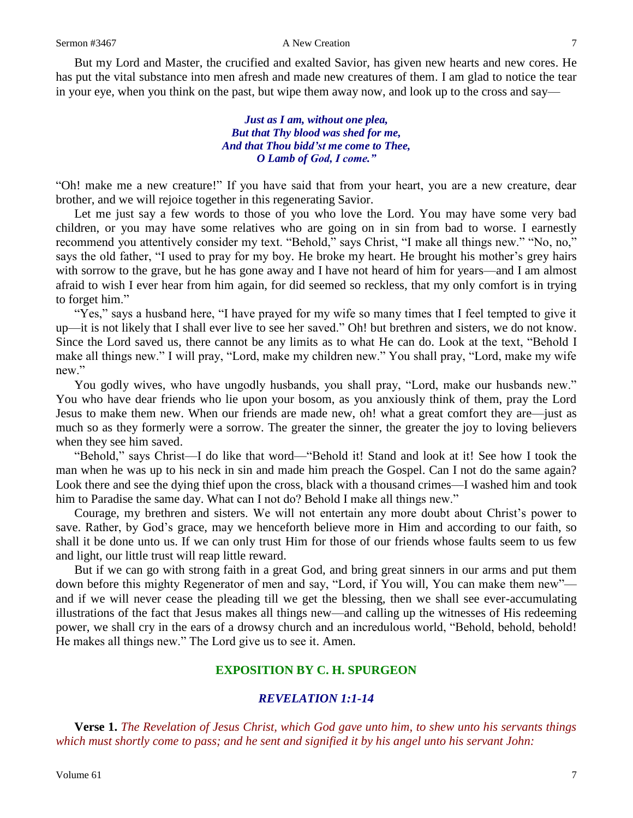But my Lord and Master, the crucified and exalted Savior, has given new hearts and new cores. He has put the vital substance into men afresh and made new creatures of them. I am glad to notice the tear in your eye, when you think on the past, but wipe them away now, and look up to the cross and say—

> *Just as I am, without one plea, But that Thy blood was shed for me, And that Thou bidd'st me come to Thee, O Lamb of God, I come."*

"Oh! make me a new creature!" If you have said that from your heart, you are a new creature, dear brother, and we will rejoice together in this regenerating Savior.

Let me just say a few words to those of you who love the Lord. You may have some very bad children, or you may have some relatives who are going on in sin from bad to worse. I earnestly recommend you attentively consider my text. "Behold," says Christ, "I make all things new." "No, no," says the old father, "I used to pray for my boy. He broke my heart. He brought his mother's grey hairs with sorrow to the grave, but he has gone away and I have not heard of him for years—and I am almost afraid to wish I ever hear from him again, for did seemed so reckless, that my only comfort is in trying to forget him."

"Yes," says a husband here, "I have prayed for my wife so many times that I feel tempted to give it up—it is not likely that I shall ever live to see her saved." Oh! but brethren and sisters, we do not know. Since the Lord saved us, there cannot be any limits as to what He can do. Look at the text, "Behold I make all things new." I will pray, "Lord, make my children new." You shall pray, "Lord, make my wife new."

You godly wives, who have ungodly husbands, you shall pray, "Lord, make our husbands new." You who have dear friends who lie upon your bosom, as you anxiously think of them, pray the Lord Jesus to make them new. When our friends are made new, oh! what a great comfort they are—just as much so as they formerly were a sorrow. The greater the sinner, the greater the joy to loving believers when they see him saved.

"Behold," says Christ—I do like that word—"Behold it! Stand and look at it! See how I took the man when he was up to his neck in sin and made him preach the Gospel. Can I not do the same again? Look there and see the dying thief upon the cross, black with a thousand crimes—I washed him and took him to Paradise the same day. What can I not do? Behold I make all things new."

Courage, my brethren and sisters. We will not entertain any more doubt about Christ's power to save. Rather, by God's grace, may we henceforth believe more in Him and according to our faith, so shall it be done unto us. If we can only trust Him for those of our friends whose faults seem to us few and light, our little trust will reap little reward.

But if we can go with strong faith in a great God, and bring great sinners in our arms and put them down before this mighty Regenerator of men and say, "Lord, if You will, You can make them new" and if we will never cease the pleading till we get the blessing, then we shall see ever-accumulating illustrations of the fact that Jesus makes all things new—and calling up the witnesses of His redeeming power, we shall cry in the ears of a drowsy church and an incredulous world, "Behold, behold, behold! He makes all things new." The Lord give us to see it. Amen.

## **EXPOSITION BY C. H. SPURGEON**

#### *REVELATION 1:1-14*

**Verse 1.** *The Revelation of Jesus Christ, which God gave unto him, to shew unto his servants things which must shortly come to pass; and he sent and signified it by his angel unto his servant John:*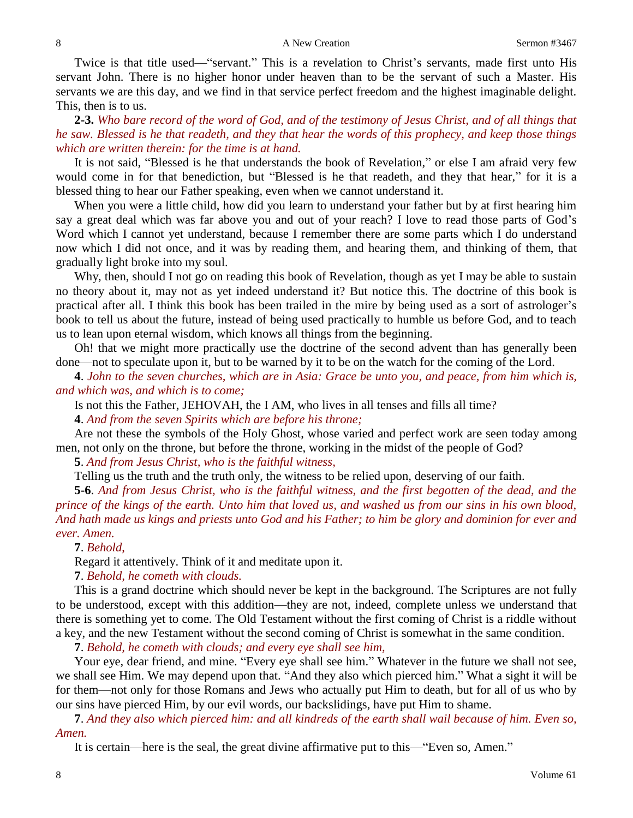#### 8 A New Creation 3467

Twice is that title used—"servant." This is a revelation to Christ's servants, made first unto His servant John. There is no higher honor under heaven than to be the servant of such a Master. His servants we are this day, and we find in that service perfect freedom and the highest imaginable delight. This, then is to us.

**2-3.** *Who bare record of the word of God, and of the testimony of Jesus Christ, and of all things that he saw. Blessed is he that readeth, and they that hear the words of this prophecy, and keep those things which are written therein: for the time is at hand.*

It is not said, "Blessed is he that understands the book of Revelation," or else I am afraid very few would come in for that benediction, but "Blessed is he that readeth, and they that hear," for it is a blessed thing to hear our Father speaking, even when we cannot understand it.

When you were a little child, how did you learn to understand your father but by at first hearing him say a great deal which was far above you and out of your reach? I love to read those parts of God's Word which I cannot yet understand, because I remember there are some parts which I do understand now which I did not once, and it was by reading them, and hearing them, and thinking of them, that gradually light broke into my soul.

Why, then, should I not go on reading this book of Revelation, though as yet I may be able to sustain no theory about it, may not as yet indeed understand it? But notice this. The doctrine of this book is practical after all. I think this book has been trailed in the mire by being used as a sort of astrologer's book to tell us about the future, instead of being used practically to humble us before God, and to teach us to lean upon eternal wisdom, which knows all things from the beginning.

Oh! that we might more practically use the doctrine of the second advent than has generally been done—not to speculate upon it, but to be warned by it to be on the watch for the coming of the Lord.

**4**. *John to the seven churches, which are in Asia: Grace be unto you, and peace, from him which is, and which was, and which is to come;*

Is not this the Father, JEHOVAH, the I AM, who lives in all tenses and fills all time?

**4**. *And from the seven Spirits which are before his throne;*

Are not these the symbols of the Holy Ghost, whose varied and perfect work are seen today among men, not only on the throne, but before the throne, working in the midst of the people of God?

**5**. *And from Jesus Christ, who is the faithful witness,*

Telling us the truth and the truth only, the witness to be relied upon, deserving of our faith.

**5-6**. *And from Jesus Christ, who is the faithful witness, and the first begotten of the dead, and the prince of the kings of the earth. Unto him that loved us, and washed us from our sins in his own blood, And hath made us kings and priests unto God and his Father; to him be glory and dominion for ever and ever. Amen.*

**7**. *Behold*,

Regard it attentively. Think of it and meditate upon it.

**7**. *Behold, he cometh with clouds.*

This is a grand doctrine which should never be kept in the background. The Scriptures are not fully to be understood, except with this addition—they are not, indeed, complete unless we understand that there is something yet to come. The Old Testament without the first coming of Christ is a riddle without a key, and the new Testament without the second coming of Christ is somewhat in the same condition.

**7**. *Behold, he cometh with clouds; and every eye shall see him,*

Your eye, dear friend, and mine. "Every eye shall see him." Whatever in the future we shall not see, we shall see Him. We may depend upon that. "And they also which pierced him." What a sight it will be for them—not only for those Romans and Jews who actually put Him to death, but for all of us who by our sins have pierced Him, by our evil words, our backslidings, have put Him to shame.

**7**. *And they also which pierced him: and all kindreds of the earth shall wail because of him. Even so, Amen.*

It is certain—here is the seal, the great divine affirmative put to this—"Even so, Amen."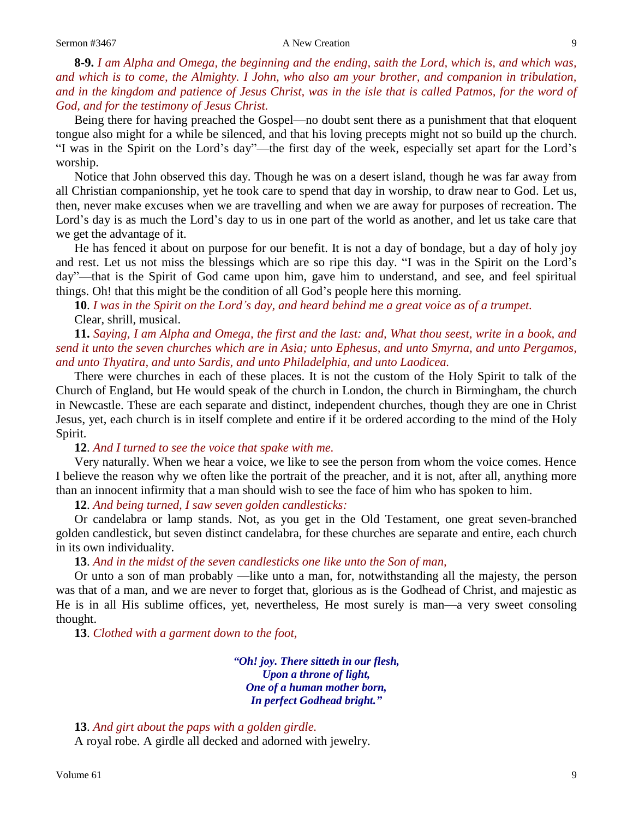**8-9.** *I am Alpha and Omega, the beginning and the ending, saith the Lord, which is, and which was, and which is to come, the Almighty. I John, who also am your brother, and companion in tribulation, and in the kingdom and patience of Jesus Christ, was in the isle that is called Patmos, for the word of God, and for the testimony of Jesus Christ.*

Being there for having preached the Gospel—no doubt sent there as a punishment that that eloquent tongue also might for a while be silenced, and that his loving precepts might not so build up the church. "I was in the Spirit on the Lord's day"—the first day of the week, especially set apart for the Lord's worship.

Notice that John observed this day. Though he was on a desert island, though he was far away from all Christian companionship, yet he took care to spend that day in worship, to draw near to God. Let us, then, never make excuses when we are travelling and when we are away for purposes of recreation. The Lord's day is as much the Lord's day to us in one part of the world as another, and let us take care that we get the advantage of it.

He has fenced it about on purpose for our benefit. It is not a day of bondage, but a day of holy joy and rest. Let us not miss the blessings which are so ripe this day. "I was in the Spirit on the Lord's day"—that is the Spirit of God came upon him, gave him to understand, and see, and feel spiritual things. Oh! that this might be the condition of all God's people here this morning.

**10**. *I was in the Spirit on the Lord's day, and heard behind me a great voice as of a trumpet.* Clear, shrill, musical.

**11.** *Saying, I am Alpha and Omega, the first and the last: and, What thou seest, write in a book, and send it unto the seven churches which are in Asia; unto Ephesus, and unto Smyrna, and unto Pergamos, and unto Thyatira, and unto Sardis, and unto Philadelphia, and unto Laodicea.*

There were churches in each of these places. It is not the custom of the Holy Spirit to talk of the Church of England, but He would speak of the church in London, the church in Birmingham, the church in Newcastle. These are each separate and distinct, independent churches, though they are one in Christ Jesus, yet, each church is in itself complete and entire if it be ordered according to the mind of the Holy Spirit.

#### **12**. *And I turned to see the voice that spake with me.*

Very naturally. When we hear a voice, we like to see the person from whom the voice comes. Hence I believe the reason why we often like the portrait of the preacher, and it is not, after all, anything more than an innocent infirmity that a man should wish to see the face of him who has spoken to him.

**12**. *And being turned, I saw seven golden candlesticks:*

Or candelabra or lamp stands. Not, as you get in the Old Testament, one great seven-branched golden candlestick, but seven distinct candelabra, for these churches are separate and entire, each church in its own individuality.

#### **13**. *And in the midst of the seven candlesticks one like unto the Son of man,*

Or unto a son of man probably —like unto a man, for, notwithstanding all the majesty, the person was that of a man, and we are never to forget that, glorious as is the Godhead of Christ, and majestic as He is in all His sublime offices, yet, nevertheless, He most surely is man—a very sweet consoling thought.

**13**. *Clothed with a garment down to the foot,*

*"Oh! joy. There sitteth in our flesh, Upon a throne of light, One of a human mother born, In perfect Godhead bright."*

**13**. *And girt about the paps with a golden girdle.*

A royal robe. A girdle all decked and adorned with jewelry.